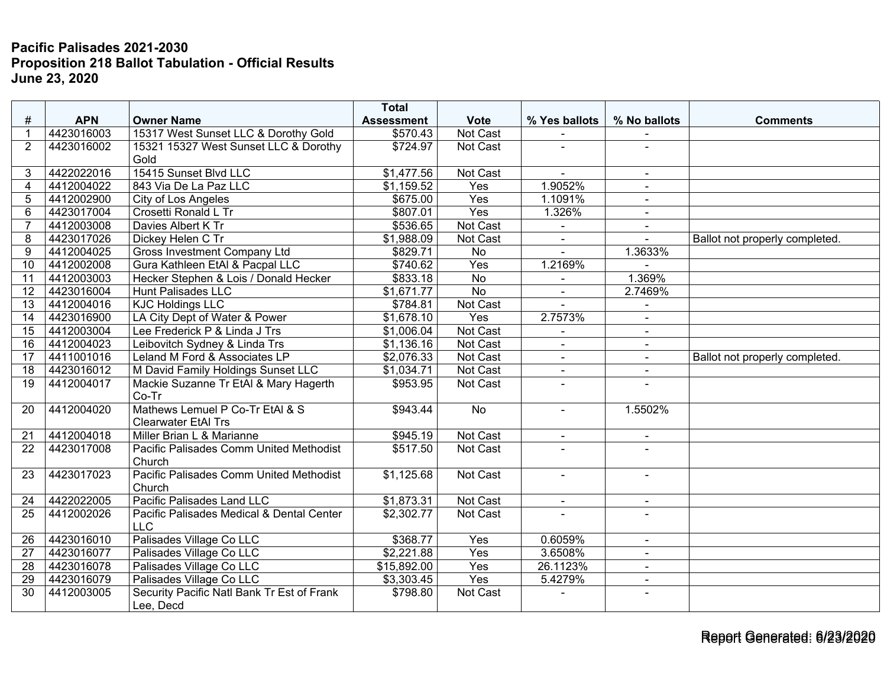## **Pacific Palisades 2021-2030 Proposition 218 Ballot Tabulation - Official Results June 23, 2020**

|                 |            |                                            | <b>Total</b>         |                  |                |                          |                                |
|-----------------|------------|--------------------------------------------|----------------------|------------------|----------------|--------------------------|--------------------------------|
| $\#$            | <b>APN</b> | <b>Owner Name</b>                          | <b>Assessment</b>    | <b>Vote</b>      | % Yes ballots  | % No ballots             | <b>Comments</b>                |
| $\overline{1}$  | 4423016003 | 15317 West Sunset LLC & Dorothy Gold       | \$570.43             | Not Cast         |                |                          |                                |
| 2               | 4423016002 | 15321 15327 West Sunset LLC & Dorothy      | \$724.97             | Not Cast         |                |                          |                                |
|                 |            | Gold                                       |                      |                  |                |                          |                                |
| 3               | 4422022016 | 15415 Sunset Blvd LLC                      | \$1,477.56           | Not Cast         | $\sim$         | $\sim$                   |                                |
| $\overline{4}$  | 4412004022 | 843 Via De La Paz LLC                      | \$1,159.52           | Yes              | 1.9052%        | $\blacksquare$           |                                |
| 5               | 4412002900 | City of Los Angeles                        | $\overline{$}675.00$ | Yes              | 1.1091%        | $\blacksquare$           |                                |
| 6               | 4423017004 | Crosetti Ronald L Tr                       | \$807.01             | Yes              | 1.326%         | $\blacksquare$           |                                |
| $\overline{7}$  | 4412003008 | Davies Albert K Tr                         | \$536.65             | Not Cast         |                |                          |                                |
| 8               | 4423017026 | Dickey Helen C Tr                          | \$1,988.09           | Not Cast         | $\blacksquare$ |                          | Ballot not properly completed. |
| 9               | 4412004025 | <b>Gross Investment Company Ltd</b>        | \$829.71             | <b>No</b>        | ÷              | 1.3633%                  |                                |
| 10              | 4412002008 | Gura Kathleen EtAl & Pacpal LLC            | \$740.62             | Yes              | 1.2169%        |                          |                                |
| 11              | 4412003003 | Hecker Stephen & Lois / Donald Hecker      | \$833.18             | <b>No</b>        |                | 1.369%                   |                                |
| 12              | 4423016004 | <b>Hunt Palisades LLC</b>                  | \$1,671.77           | $\overline{No}$  |                | 2.7469%                  |                                |
| 13              | 4412004016 | <b>KJC Holdings LLC</b>                    | \$784.81             | Not Cast         |                |                          |                                |
| 14              | 4423016900 | LA City Dept of Water & Power              | \$1,678.10           | Yes              | 2.7573%        |                          |                                |
| 15              | 4412003004 | Lee Frederick P & Linda J Trs              | \$1,006.04           | <b>Not Cast</b>  |                | $\blacksquare$           |                                |
| 16              | 4412004023 | Leibovitch Sydney & Linda Trs              | \$1,136.16           | Not Cast         | $\blacksquare$ | $\sim$                   |                                |
| 17              | 4411001016 | Leland M Ford & Associates LP              | \$2,076.33           | Not Cast         | $\blacksquare$ | $\blacksquare$           | Ballot not properly completed. |
| 18              | 4423016012 | M David Family Holdings Sunset LLC         | \$1,034.71           | Not Cast         | $\blacksquare$ | $\overline{\phantom{a}}$ |                                |
| 19              | 4412004017 | Mackie Suzanne Tr EtAl & Mary Hagerth      | \$953.95             | Not Cast         | ۰              |                          |                                |
|                 |            | Co-Tr                                      |                      |                  |                |                          |                                |
| 20              | 4412004020 | Mathews Lemuel P Co-Tr EtAl & S            | \$943.44             | $\overline{No}$  | ÷.             | 1.5502%                  |                                |
|                 |            | <b>Clearwater EtAl Trs</b>                 |                      |                  |                |                          |                                |
| 21              | 4412004018 | Miller Brian L & Marianne                  | \$945.19             | Not Cast         | $\blacksquare$ | $\blacksquare$           |                                |
| 22              | 4423017008 | Pacific Palisades Comm United Methodist    | \$517.50             | Not Cast         |                |                          |                                |
|                 |            | Church                                     |                      |                  |                |                          |                                |
| 23              | 4423017023 | Pacific Palisades Comm United Methodist    | \$1,125.68           | Not Cast         | $\mathbf{r}$   | $\sim$                   |                                |
|                 |            | Church                                     |                      |                  |                |                          |                                |
| 24              | 4422022005 | Pacific Palisades Land LLC                 | \$1,873.31           | Not Cast         | $\blacksquare$ | $\sim$                   |                                |
| 25              | 4412002026 | Pacific Palisades Medical & Dental Center  | \$2,302.77           | Not Cast         |                |                          |                                |
|                 |            | <b>LLC</b>                                 |                      |                  |                |                          |                                |
| 26              | 4423016010 | Palisades Village Co LLC                   | \$368.77             | Yes              | 0.6059%        | $\sim$                   |                                |
| $\overline{27}$ | 4423016077 | Palisades Village Co LLC                   | \$2,221.88           | $\overline{Yes}$ | 3.6508%        | $\sim$                   |                                |
| 28              | 4423016078 | Palisades Village Co LLC                   | \$15,892.00          | Yes              | 26.1123%       | $\blacksquare$           |                                |
| 29              | 4423016079 | Palisades Village Co LLC                   | \$3,303.45           | Yes              | 5.4279%        | $\blacksquare$           |                                |
| 30              | 4412003005 | Security Pacific Natl Bank Tr Est of Frank | \$798.80             | Not Cast         |                | $\sim$                   |                                |
|                 |            | Lee, Decd                                  |                      |                  |                |                          |                                |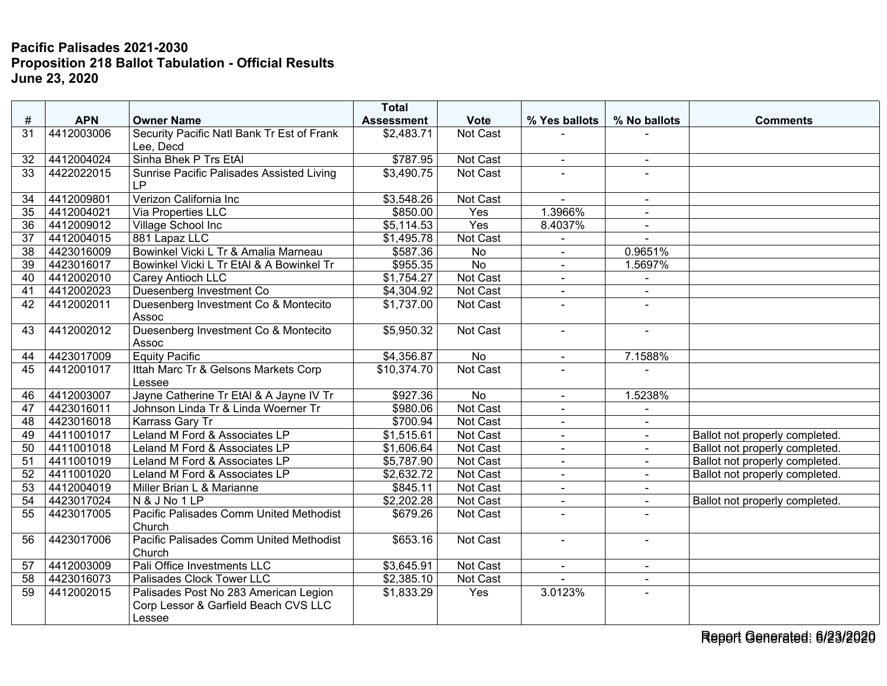## **Pacific Palisades 2021-2030 Proposition 218 Ballot Tabulation - Official Results June 23, 2020**

| $\#$            | <b>APN</b> | <b>Owner Name</b>                                                                       | <b>Total</b><br><b>Assessment</b> | <b>Vote</b>     | % Yes ballots  | % No ballots   | <b>Comments</b>                |
|-----------------|------------|-----------------------------------------------------------------------------------------|-----------------------------------|-----------------|----------------|----------------|--------------------------------|
| 31              | 4412003006 | Security Pacific Natl Bank Tr Est of Frank<br>Lee, Decd                                 | \$2,483.71                        | Not Cast        |                |                |                                |
| 32              | 4412004024 | Sinha Bhek P Trs EtAl                                                                   | \$787.95                          | Not Cast        | $\blacksquare$ | $\blacksquare$ |                                |
| 33              | 4422022015 | Sunrise Pacific Palisades Assisted Living<br><b>LP</b>                                  | \$3,490.75                        | Not Cast        |                |                |                                |
| 34              | 4412009801 | Verizon California Inc                                                                  | \$3,548.26                        | Not Cast        |                | $\blacksquare$ |                                |
| $\overline{35}$ | 4412004021 | Via Properties LLC                                                                      | \$850.00                          | Yes             | 1.3966%        |                |                                |
| 36              | 4412009012 | Village School Inc                                                                      | \$5,114.53                        | Yes             | 8.4037%        | $\blacksquare$ |                                |
| 37              | 4412004015 | 881 Lapaz LLC                                                                           | \$1,495.78                        | Not Cast        | $\blacksquare$ | $\sim$         |                                |
| 38              | 4423016009 | Bowinkel Vicki L Tr & Amalia Marneau                                                    | \$587.36                          | No              | $\blacksquare$ | 0.9651%        |                                |
| $\overline{39}$ | 4423016017 | Bowinkel Vicki L Tr EtAl & A Bowinkel Tr                                                | \$955.35                          | $\overline{No}$ | $\blacksquare$ | 1.5697%        |                                |
| 40              | 4412002010 | Carey Antioch LLC                                                                       | \$1,754.27                        | Not Cast        | $\blacksquare$ | $\blacksquare$ |                                |
| 41              | 4412002023 | Duesenberg Investment Co                                                                | \$4,304.92                        | Not Cast        | $\overline{a}$ | $\sim$         |                                |
| 42              | 4412002011 | Duesenberg Investment Co & Montecito<br>Assoc                                           | \$1,737.00                        | Not Cast        |                |                |                                |
| 43              | 4412002012 | Duesenberg Investment Co & Montecito<br>Assoc                                           | \$5,950.32                        | Not Cast        | $\blacksquare$ | $\sim$         |                                |
| 44              | 4423017009 | <b>Equity Pacific</b>                                                                   | \$4,356.87                        | No              | $\blacksquare$ | 7.1588%        |                                |
| 45              | 4412001017 | Ittah Marc Tr & Gelsons Markets Corp<br>Lessee                                          | \$10,374.70                       | <b>Not Cast</b> |                |                |                                |
| 46              | 4412003007 | Jayne Catherine Tr EtAl & A Jayne IV Tr                                                 | \$927.36                          | <b>No</b>       |                | 1.5238%        |                                |
| 47              | 4423016011 | Johnson Linda Tr & Linda Woerner Tr                                                     | \$980.06                          | Not Cast        | $\blacksquare$ | $\blacksquare$ |                                |
| 48              | 4423016018 | Karrass Gary Tr                                                                         | \$700.94                          | Not Cast        | $\blacksquare$ | $\blacksquare$ |                                |
| 49              | 4411001017 | Leland M Ford & Associates LP                                                           | \$1,515.61                        | Not Cast        | $\blacksquare$ | $\blacksquare$ | Ballot not properly completed. |
| 50              | 4411001018 | Leland M Ford & Associates LP                                                           | \$1,606.64                        | Not Cast        | $\blacksquare$ | $\blacksquare$ | Ballot not properly completed. |
| 51              | 4411001019 | Leland M Ford & Associates LP                                                           | \$5,787.90                        | Not Cast        | $\sim$         | $\sim$         | Ballot not properly completed. |
| 52              | 4411001020 | Leland M Ford & Associates LP                                                           | \$2,632.72                        | Not Cast        | $\sim$         | $\sim$         | Ballot not properly completed. |
| $\overline{53}$ | 4412004019 | Miller Brian L & Marianne                                                               | \$845.11                          | Not Cast        |                |                |                                |
| $\overline{54}$ | 4423017024 | N & J No 1 LP                                                                           | \$2,202.28                        | Not Cast        | $\sim$         | $\sim$         | Ballot not properly completed. |
| 55              | 4423017005 | Pacific Palisades Comm United Methodist<br>Church                                       | \$679.26                          | Not Cast        | $\blacksquare$ | $\sim$         |                                |
| 56              | 4423017006 | Pacific Palisades Comm United Methodist<br>Church                                       | \$653.16                          | Not Cast        | $\sim$         | $\sim$         |                                |
| 57              | 4412003009 | Pali Office Investments LLC                                                             | \$3,645.91                        | Not Cast        | $\blacksquare$ | $\sim$         |                                |
| 58              | 4423016073 | Palisades Clock Tower LLC                                                               | \$2,385.10                        | Not Cast        |                |                |                                |
| 59              | 4412002015 | Palisades Post No 283 American Legion<br>Corp Lessor & Garfield Beach CVS LLC<br>Lessee | \$1,833.29                        | Yes             | 3.0123%        | $\sim$         |                                |